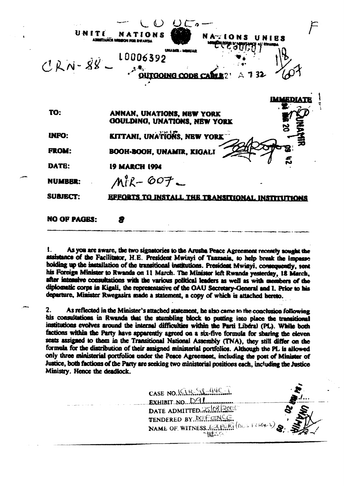| UNITE               | NATIONS<br>NATIONS UNIES<br><b>EMIA N</b>  |               |
|---------------------|--------------------------------------------|---------------|
| $CRN-88$            | 10006392<br><b>OUTGOING CODE</b>           | 732           |
| TO:                 | ANNAN, UNATIONS, NBW YORK                  | <b>HAMEDI</b> |
|                     | GOULDING, UNATIONS, NEW YORK               |               |
| <b>INFO:</b>        | KITTANI, UNA TÖNS, NEW YORK                |               |
| <b>FROM:</b>        | <b>BOOH-BOOH, UNAMIR, KIGALI</b>           |               |
| DATE:               | <b>19 MARCH 1994</b>                       |               |
| <b>NUMBER:</b>      | $M^8R - 607 -$                             |               |
| <b>SUBJECT:</b>     | EFFORTS TO INSTALL THE TRANSITIONAL INSTIT |               |
| <b>NO OF PAGES:</b> |                                            |               |

t. As you are aware, the two signatories to the Arusha Peace Agreement recently sought the assistance of the Facilitator, H.E. President Mwinyi of Tanzania, to help break the impasse holding up the installation of the transitional institutions. President Mwinyi, consequently, sent his Foreign Minister to Rwanda on 11 March. The Minister left Rwanda yesterday, 18 March, after intensive consultations with the various political leaders as well as with members of the diplomatic corps in Kigali, the representative of the OAU Secretary-General and I. Prior to his departure, Minister Rwegasira made a statement, a copy of which is attached hereto.

 $\overline{2}$ . As reflected in the Minister's attached statement, he also came to the conclusion following his consultations in Rwanda that the stumbling block to putting into place the transitional institutions evolves around the internal difficulties within the Parti Liberal (PL). While both factions within the Party have apparently agreed on a six-five formula for sharing the eleven seats assigned to them in the Transitional National Assembly (TNA), they still differ on the formula for the distribution of their assigned ministerial portfolios. Although the PL is allowed only three ministerial portfolios under the Peace Agreement, including the post of Minister of Justice, both factions of the Party are seeking two ministerial positions each, including the Justice Ministry. Hence the deadlock.

CASE NO. I.C.I.R. 98-44C-1 EXHIBIT NO. DAL DATE ADMITTED. 25 08 2085 TENDERED BY. DEFINIS NAME OF WITNESS FOR PORT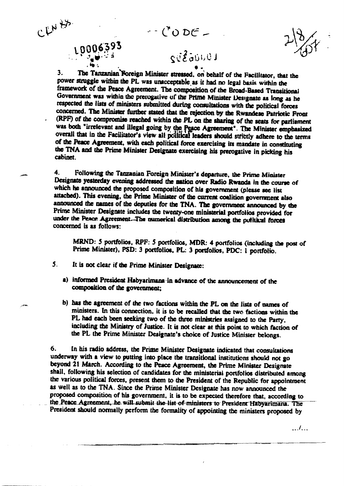$-100E$ 

The Tanzanian Foreign Minister stressed, on behalf of the Facilitator, that the  $3<sub>1</sub>$ power struggle within the PL was unacceptable as it had no legal basis within the framework of the Peace Agreement. The composition of the Broad-Based Transitional Government was within the prerogative of the Prime Minister Designate as long as he respected the lists of ministers submitted during consultations with the political forces concerned. The Minister further stated that the rejection by the Rwandese Patriotic Front (RPF) of the compromise reached within the PL on the sharing of the seats for parliament was both "irrelevant and illegal going by the Peace Agreement". The Minister emphasized overall that in the Facilitator's view all political leaders should strictly adhere to the terms of the Peace Agreement, with each political force exercising its mandate in constituting the TNA and the Prime Minister Designate exercising his prerogative in picking his cabinet.

 $\blacktriangle$ . Following the Tanzanian Foreign Minister's departure, the Prime Minister Designate yesterday evening addressed the nation over Radio Rwanda in the course of which he announced the proposed composition of his government (please see list attached). This evening, the Prime Minister of the current coalition government also announced the names of the deputies for the TNA. The government announced by the Prime Minister Designate includes the twenty-one ministerial portfolios provided for under the Peace Agreement. The numerical distribution among the putitical forces concerned is as follows:

MRND: 5 portfolios, RPF: 5 portfolios, MDR: 4 portfolios (including the post of Prime Minister), PSD: 3 portfolios, PL: 3 portfolios, PDC: 1 portfolio.

 $5.$ It is not clear if the Prime Minister Designate:

CENH3

L0006393

- a) informed President Habyarimana in advance of the announcement of the composition of the government:
- b) has the agreement of the two factions within the PL on the lists of names of ministers. In this connection, it is to be recalled that the two factions within the PL had each been seeking two of the three ministries assigned to the Party, including the Ministry of Justice. It is not clear at this point to which faction of the PL the Prime Minister Designate's choice of Justice Minister belongs.

6. In his radio address, the Prime Minister Designate indicated that consultations underway with a view to putting into place the transitional institutions should not go beyond 21 March. According to the Peace Agreement, the Prime Minister Designate shall, following his selection of candidates for the ministerial portfolios distributed among the various political forces, present them to the President of the Republic for appointment as well as to the TNA. Since the Prime Minister Designate has now announced the proposed composition of his government, it is to be expected therefore that, according to the Peace Agreement, he will submit the list of ministers to President Habyarimana. The President should normally perform the formality of appointing the ministers proposed by

 $\ldots$ l $\ldots$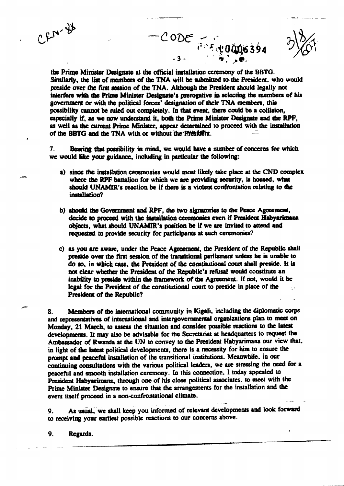$CFN - 38$ 

the Prime Minister Designate at the official installation ceremony of the BBTG. Similarly, the list of members of the TNA will be submitted to the President, who would preside over the first session of the TNA. Although the President should legally not interfere with the Prime Minister Designate's prerogative in selecting the members of his government or with the political forces' designation of their TNA members, this possibility cannot be ruled out completely. In that event, there could be a collision, especially if, as we now understand it, both the Prime Minister Designate and the RPF. as well as the current Prime Minister, appear determined to proceed with the installation of the BBTG and the TNA with or without the President.

CODE FIFEQU

Bearing that possibility in mind, we would have a number of concerns for which 7. we would like your guidance, including in particular the following:

- a) since the installation ceremonies would most likely take place at the CND complex where the RPF battalion for which we are providing security, is housed, what should UNAMIR's reaction be if there is a violent confrontation relating to the installation?
- b) should the Government and RPF, the two signatories to the Peace Agreement, decide to proceed with the installation ceremonies even if President Habyarimana objects, what should UNAMIR's position be if we are invited to attend and requested to provide security for participants at such ceremonies?
- c) as you are aware, under the Peace Agreement, the President of the Republic shall preside over the first session of the transitional parliament unless he is unable to do so, in which case, the President of the constitutional court shall preside. It is not clear whether the President of the Republic's refusal would constitute an inability to preside within the framework of the Agreement. If not, would it be legal for the President of the constitutional court to preside in place of the President of the Republic?

Members of the international community in Kigali, including the diplomatic corps 8. and representatives of international and intergovernmental organizations plan to meet on Monday, 21 March, to assess the situation and consider possible reactions to the latest developments. It may also be advisable for the Secretariat at headquarters to request the Ambassador of Rwanda at the UN to convey to the President Habyarimana our view that, in light of the latest political developments, there is a necessity for him to ensure the prompt and peaceful installation of the transitional institutions. Meanwhile, in our continuing consultations with the various political leaders, we are stressing the need for a peaceful and smooth installation ceremony. In this connection, I today appealed to President Habyarimana, through one of his close political associates, to meet with the Prime Minister Designate to ensure that the arrangements for the installation and the event itself proceed in a non-confrontational climate.

As usual, we shall keep you informed of relevant developments and look forward 9. to receiving your earliest possible reactions to our concerns above.

9. Regards.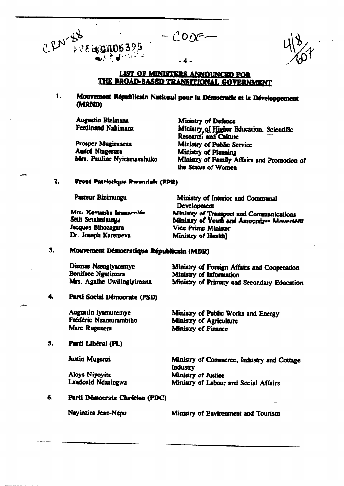## LIST OF MINISTERS ANNOUNCED FOR THE BROAD-BASED TRANSITIONAL GOVERNMENT

 $-CODE$ 

### Mouvement Républicain National pour la Démocratie et le Développement 1. (MRND)

**Augustin Bizimana Ferdinand Nahimana** 

 $4$   $8$   $6$  equation  $395$ 

, 2N-38

Prosper Mugiraneza **André Ntagerura** Mrs. Pauline Nyiramasuhuko

**Ministry of Defence** Ministry of Higher Education, Scientific **Research and Culture** Ministry of Public Service Ministry of Planning Ministry of Family Affairs and Promotion of the Status of Women

#### $\mathbf{2}$ . Front Patriotique Rwandale (FPR)

Pasteur Bizimungu

Mm. Kayumba Immaculée Seth Sendaniuma Jacques Bihozagara Dr. Joseph Karemeva

Ministry of Interior and Communal **Development** Ministry of Transport and Communications Ministry of Youth and Associative Movement Vice Prime Minister Ministry of Health!

#### $3.$ Mouvement Démocratique Républicain (MDR)

| Dismas Nsengiyaremyc       | Ministry of Foreign Affairs and Cooperation |
|----------------------------|---------------------------------------------|
| Boniface Ngulinzira        | Ministry of Information                     |
| Mrs. Agathe Uwilingiyimana | Ministry of Primary and Secondary Education |

#### 4. Parti Social Démocrate (PSD)

**Augustin Iyamuremve** Ministry of Public Works and Energy Frédéric Nzamurambiho Ministry of Agriculture Marc Rugenera Ministry of Finance

#### 5. Parti Libéral (PL)

**Justin Mugenzi** 

Aloys Niyoyita Landoald Ndasingwa

Ministry of Commerce, Industry and Cottage Industry Ministry of Justice Ministry of Labour and Social Affairs

#### 6. Parti Démocrate Chrétien (PDC)

Nayinzira Jean-Népo

Ministry of Environment and Tourism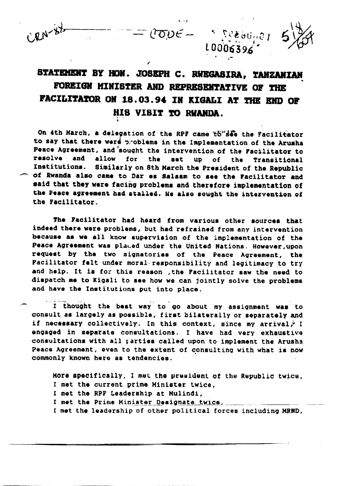

L0006396

On 4th March, a delegation of the RPF came to see the Facilitator to say that there were problems in the Implementation of the Arusha Peace Agreement, and sought the intervention of the Facilitator to resolve and allow for the **set** up  $of$ the Transitional Institutions. Similarly on 8th March the President of the Republic of Rwanda also came to Dar es Salaam to see the Facilitator and said that they were facing problems and therefore implementation of the Peace agreement had stalled. He also sought the intervention of the Facilitator.

The Facilitator had heard from various other sources that indeed there were problems, but had refrained from any intervention because as we all know supervision of the implementation of the Peace Agreement was placed under the United Nations. However, upon request by the two signatories of the Peace Agreement, the Facilitator felt under moral responsibility and legitimacy to try and help. It is for this reason , the Pacilitator saw the need to dispatch me to Kigali to see how we can jointly solve the problems and have the Institutions put into place.

I thought the best way to go about my assignment was to consult as largely as possible, first bilaterally or separately and if necessary collectively. In this context, since my arrival, I engaged in separate consultations. I have had very exhaustive consultations with all parties called upon to implement the Arusha Peace Agreement, even to the extent of consulting with what is now commonly known here as tendencies.

More specifically, I met the president of the Republic twice, I met the current prime Minister twice. I met the RPF Leadership at Mulindi, I met the Prime Minister Designate twice, I met the leadership of other political forces including MRND,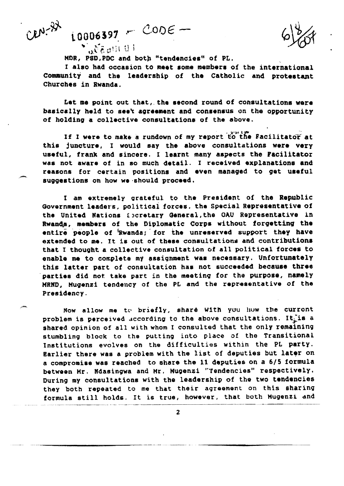Cen-22

MDR, PSD, PDC and both "tendencies" of PL.

 $\text{LOOOS397} \cdot \text{CODE}$ 

o. Chall Ul

I also had occasion to meet some members of the international Community and the leadership of the Catholic and protestant Churches in Rwanda.

Let me point out that, the second round of consultations were basically held to see't agreement and consensus on the opportunity of holding a collective consultations of the above.

If I were to make a rundown of my report to the Facilitator at this juncture, I would say the above consultations were very useful, frank and sincere. I learnt many aspects the Facilitator was not aware of in so much detail. I received explanations and reasons for certain positions and even managed to get useful suggestions on how we should proceed.

I am extremely grateful to the President of the Republic Government leaders, political forces, the Special Representative of the United Nations Escretary General, the OAU Representative in Rwanda, members of the Diplomatic Corps without forgetting the entire people of Rwanda; for the unreserved support they have extended to me. It is out of these consultations and contributions that I thought a collective consultation of all political forces to enable me to complete my assignment was necessary. Unfortunately this latter part of consultation has not succeeded because three parties did not take part in the meeting for the purpose, namely MRND, Mugenzi tendency of the PL and the representative of the Presidency.

Now allow me to briefly, share With you how the curront problem is perceived according to the above consultations. It is a shared opinion of all with whom I consulted that the only remaining stumbling block to the putting into place of the Transitional Institutions evolves on the difficulties within the PL party. Earlier there was a problem with the list of deputies but later on a compromise was reached to share the 11 deputies on a 6/5 formula between Mr. Ndasingwa and Mr. Mugenzi "Tendencies" respectively. During my consultations with the leadership of the two tendencies they both repeated to me that their agreement on this sharing formula still holds. It is true, however, that both Mugenzi and

 $\mathbf{z}$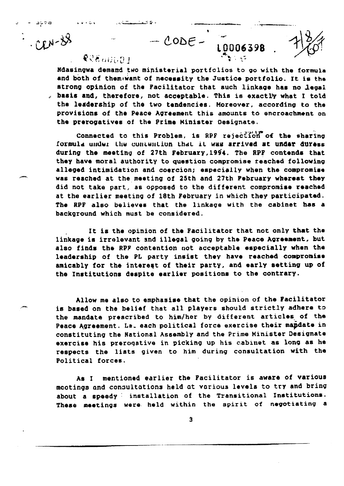$CODE - \frac{10006398}{10006398}$ 

# **QUEGHILD 1**

atoa erro

 $28 - 11$ 

Ndasingwa demand two ministerial portfolios to go with the formula and both of them want of necessity the Justice portfolio. It is the strong opinion of the Pacilitator that such linkage has no legal . basis and, therefore, not acceptable. This is exactly what I told the leadership of the two tendencies. Moreover, according to the provisions of the Peace Agreement this amounts to encroachment on the prerogatives of the Prime Minister Designate.

Connected to this Problem, is RPF rejection of the sharing formula under the contention that it was arrived at under duress during the meeting of 27th February, 1994. The RPF contends that they have moral authority to question compromise reached following alleged intimidation and coercion; especially when the compromise was reached at the meeting of 25th and 27th Pebruary whereat they did not take part, as opposed to the different compromise reached at the earlier meeting of 18th February in which they participated. The RPF also believes that the linkage with the cabinet has a background which must be considered.

It is the opinion of the Facilitator that not only that the linkage is irrelevant and illegal going by the Peace Agreement, but also finds the RPF contention not acceptable especially when the leadership of the PL party insist they have reached compromise amicably for the interest of their party, and early setting up of the Institutions despite earlier positions to the contrary.

Allow me also to emphasise that the opinion of the Facilitator is based on the belief that all players should strictly adhere to the mandate prescribed to him/her by different articles of the Peace Agreement. Le. each political force exercise their mandate in constituting the National Assembly and the Prime Minister Designate exercise his prerogative in picking up his cabinet as long as he respects the lists given to him during consultation with the Political forces.

As I mentioned earlier the Facilitator is aware of various meetings and consultations held at various levels to try and bring about a speedy installation of the Transitional Institutions. These meetings were held within the spirit of negotiating a

 $\mathbf{3}$